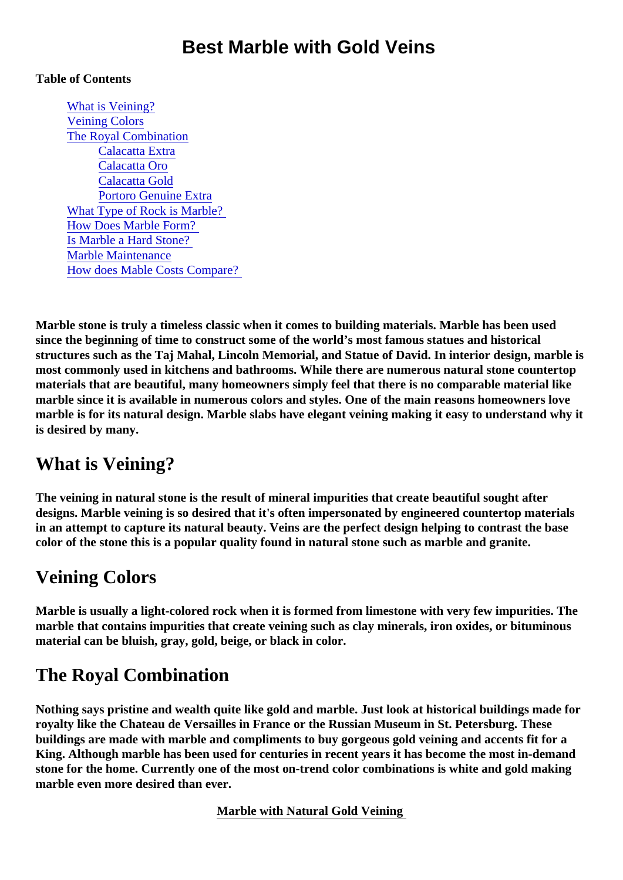## Best Marble with Gold Veins

#### Table of Contents

What is Veining? Veining Colors The Royal Combination [Calacatta Extr](#page-1-0)a [Calacatta Or](#page-1-0)o [Calacatta Gol](#page-1-0)d [Portoro Genuine Extr](#page-1-0)a [What Type of Rock is Marble](#page-1-0)? [How Does Marble Form](#page-1-0)? [Is Marble a Hard Stone](#page-1-0)? [Marble Maintenanc](#page-2-0)e [How does Mable Costs Compar](#page-2-0)e?

Marble stone is truly a timeless classic when it comes to building materials. Marble has been used since the beginning of time to construct some of the world's most famous statues and historical structures such as the Taj Mahal, Lincoln Memorial, and Statue of David. In interior design, marble is most commonly used in kitchens and bathrooms. While there are numerous natural stone countertop materials that are beautiful, many homeowners simply feel that there is no comparable material like marble since it is available in numerous colors and styles. One of the main reasons homeowners love marble is for its natural design. Marble slabs have elegant veining making it easy to understand why it is desired by many.

## What is Veining?

The veining in natural stone is the result of mineral impurities that create beautiful sought after designs. Marble veining is so desired that it's often impersonated by engineered countertop materials in an attempt to capture its natural beauty. Veins are the perfect design helping to contrast the base color of the stone this is a popular quality found in natural stone such as marble and granite.

## Veining Colors

Marble is usually a light-colored rock when it is formed from limestone with very few impurities. The marble that contains impurities that create veining such as clay minerals, iron oxides, or bituminous material can be bluish, gray, gold, beige, or black in color.

# The Royal Combination

Nothing says pristine and wealth quite like gold and marble. Just look at historical buildings made for royalty like the Chateau de Versailles in France or the Russian Museum in St. Petersburg. These buildings are made with marble and compliments to buy gorgeous gold veining and accents fit for a King. Although marble has been used for centuries in recent years it has become the most in-demand stone for the home. Currently one of the most on-trend color combinations is white and gold making marble even more desired than ever.

Marble with Natural Gold Veining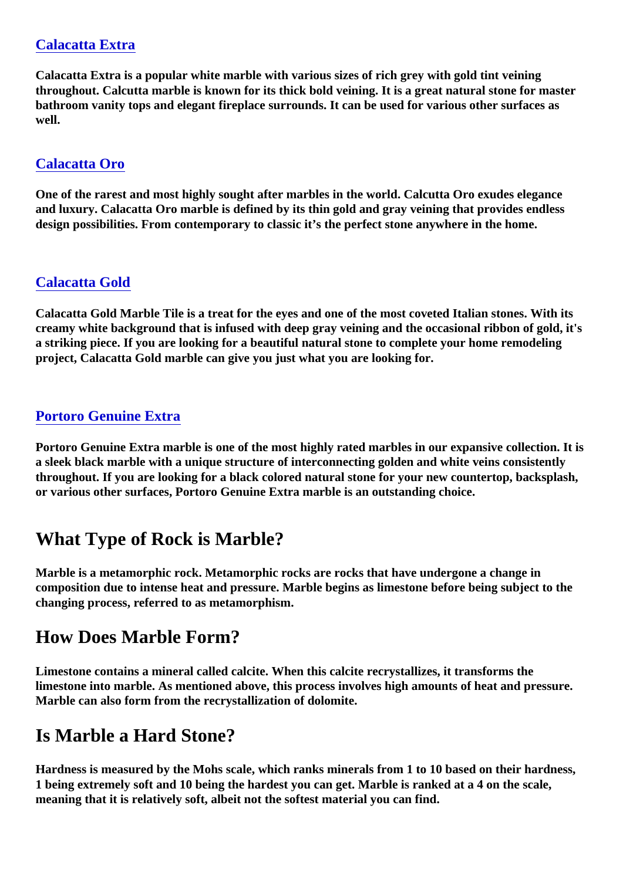#### <span id="page-1-0"></span>[Calacatta Extra](https://marble.com/marble-countertops/calacatta-extra/405)

Calacatta Extra is a popular white marble with various sizes of rich grey with gold tint veining throughout. Calcutta marble is known for its thick bold veining. It is a great natural stone for master bathroom vanity tops and elegant fireplace surrounds. It can be used for various other surfaces as well.

#### [Calacatta Oro](https://marble.com/marble-countertops/calacatta-oro/279)

One of the rarest and most highly sought after marbles in the world. Calcutta Oro exudes elegance and luxury. Calacatta Oro marble is defined by its thin gold and gray veining that provides endless design possibilities. From contemporary to classic it's the perfect stone anywhere in the home.

#### [Calacatta Gold](https://marble.com/marble-countertops/calacatta-gold/415)

Calacatta Gold Marble Tile is a treat for the eyes and one of the most coveted Italian stones. With its creamy white background that is infused with deep gray veining and the occasional ribbon of gold, it's a striking piece. If you are looking for a beautiful natural stone to complete your home remodeling project, Calacatta Gold marble can give you just what you are looking for.

#### [Portoro Genuine Extra](https://marble.com/marble-countertops/portoro-genuine-extra/420)

Portoro Genuine Extra marble is one of the most highly rated marbles in our expansive collection. It is a sleek black marble with a unique structure of interconnecting golden and white veins consistently throughout. If you are looking for a black colored natural stone for your new countertop, backsplash, or various other surfaces, Portoro Genuine Extra marble is an outstanding choice.

## What Type of Rock is Marble?

Marble is a metamorphic rock. Metamorphic rocks are rocks that have undergone a change in composition due to intense heat and pressure. Marble begins as limestone before being subject to the changing process, referred to as metamorphism.

### How Does Marble Form?

Limestone contains a mineral called calcite. When this calcite recrystallizes, it transforms the limestone into marble. As mentioned above, this process involves high amounts of heat and pressure. Marble can also form from the recrystallization of dolomite.

## Is Marble a Hard Stone?

Hardness is measured by the Mohs scale, which ranks minerals from 1 to 10 based on their hardness, 1 being extremely soft and 10 being the hardest you can get. Marble is ranked at a 4 on the scale, meaning that it is relatively soft, albeit not the softest material you can find.